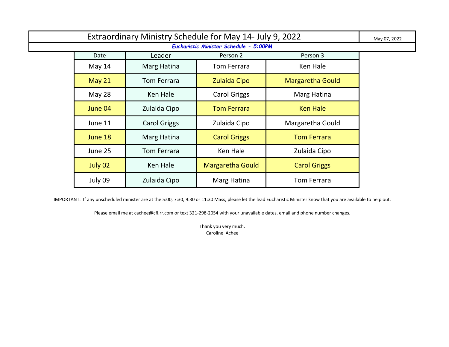| Extraordinary Ministry Schedule for May 14- July 9, 2022 |               |                     |                         |                         | May 07, 2022 |  |
|----------------------------------------------------------|---------------|---------------------|-------------------------|-------------------------|--------------|--|
| Eucharistic Minister Schedule - 5:00PM                   |               |                     |                         |                         |              |  |
|                                                          | Date          | Leader              | Person 2                | Person 3                |              |  |
|                                                          | May 14        | Marg Hatina         | Tom Ferrara             | Ken Hale                |              |  |
|                                                          | <b>May 21</b> | <b>Tom Ferrara</b>  | Zulaida Cipo            | <b>Margaretha Gould</b> |              |  |
|                                                          | May 28        | Ken Hale            | <b>Carol Griggs</b>     | Marg Hatina             |              |  |
|                                                          | June 04       | Zulaida Cipo        | <b>Tom Ferrara</b>      | <b>Ken Hale</b>         |              |  |
|                                                          | June 11       | <b>Carol Griggs</b> | Zulaida Cipo            | Margaretha Gould        |              |  |
|                                                          | June 18       | Marg Hatina         | <b>Carol Griggs</b>     | <b>Tom Ferrara</b>      |              |  |
|                                                          | June 25       | <b>Tom Ferrara</b>  | Ken Hale                | Zulaida Cipo            |              |  |
|                                                          | July 02       | Ken Hale            | <b>Margaretha Gould</b> | <b>Carol Griggs</b>     |              |  |
|                                                          | July 09       | Zulaida Cipo        | Marg Hatina             | <b>Tom Ferrara</b>      |              |  |

Please email me at cachee@cfl.rr.com or text 321-298-2054 with your unavailable dates, email and phone number changes.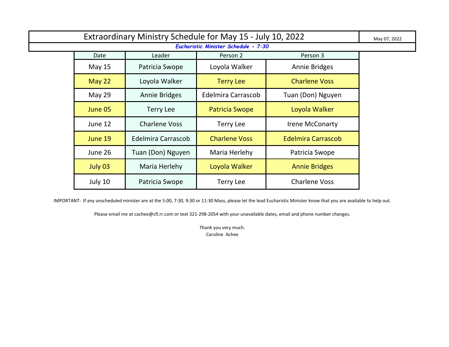| Extraordinary Ministry Schedule for May 15 - July 10, 2022 |               |                      |                           |                           | May 07, 2022 |  |
|------------------------------------------------------------|---------------|----------------------|---------------------------|---------------------------|--------------|--|
| Eucharistic Minister Schedule - 7:30                       |               |                      |                           |                           |              |  |
|                                                            | Date          | Leader               | Person 2                  | Person 3                  |              |  |
|                                                            | May 15        | Patricia Swope       | Loyola Walker             | Annie Bridges             |              |  |
|                                                            | <b>May 22</b> | Loyola Walker        | <b>Terry Lee</b>          | <b>Charlene Voss</b>      |              |  |
|                                                            | <b>May 29</b> | <b>Annie Bridges</b> | <b>Edelmira Carrascob</b> | Tuan (Don) Nguyen         |              |  |
|                                                            | June 05       | <b>Terry Lee</b>     | <b>Patricia Swope</b>     | Loyola Walker             |              |  |
|                                                            | June 12       | <b>Charlene Voss</b> | <b>Terry Lee</b>          | <b>Irene McConarty</b>    |              |  |
|                                                            | June 19       | Edelmira Carrascob   | <b>Charlene Voss</b>      | <b>Edelmira Carrascob</b> |              |  |
|                                                            | June 26       | Tuan (Don) Nguyen    | Maria Herlehy             | Patricia Swope            |              |  |
|                                                            | July 03       | Maria Herlehy        | Loyola Walker             | <b>Annie Bridges</b>      |              |  |
|                                                            | July 10       | Patricia Swope       | <b>Terry Lee</b>          | <b>Charlene Voss</b>      |              |  |

Please email me at cachee@cfl.rr.com or text 321-298-2054 with your unavailable dates, email and phone number changes.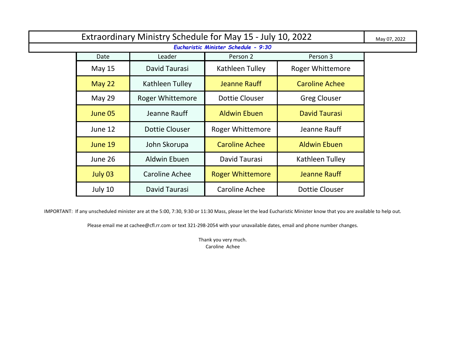| Extraordinary Ministry Schedule for May 15 - July 10, 2022 |               |                         |                         |                         | May 07, 2022 |  |
|------------------------------------------------------------|---------------|-------------------------|-------------------------|-------------------------|--------------|--|
| Eucharistic Minister Schedule - 9:30                       |               |                         |                         |                         |              |  |
|                                                            | Date          | Leader                  | Person 2                | Person 3                |              |  |
|                                                            | <b>May 15</b> | David Taurasi           | Kathleen Tulley         | <b>Roger Whittemore</b> |              |  |
|                                                            | May 22        | Kathleen Tulley         | <b>Jeanne Rauff</b>     | <b>Caroline Achee</b>   |              |  |
|                                                            | May 29        | <b>Roger Whittemore</b> | <b>Dottie Clouser</b>   | <b>Greg Clouser</b>     |              |  |
|                                                            | June 05       | Jeanne Rauff            | <b>Aldwin Ebuen</b>     | <b>David Taurasi</b>    |              |  |
|                                                            | June 12       | Dottie Clouser          | <b>Roger Whittemore</b> | Jeanne Rauff            |              |  |
|                                                            | June 19       | John Skorupa            | <b>Caroline Achee</b>   | <b>Aldwin Ebuen</b>     |              |  |
|                                                            | June 26       | Aldwin Ebuen            | David Taurasi           | Kathleen Tulley         |              |  |
|                                                            | July 03       | <b>Caroline Achee</b>   | <b>Roger Whittemore</b> | Jeanne Rauff            |              |  |
|                                                            | July 10       | David Taurasi           | Caroline Achee          | <b>Dottie Clouser</b>   |              |  |

Please email me at cachee@cfl.rr.com or text 321-298-2054 with your unavailable dates, email and phone number changes.